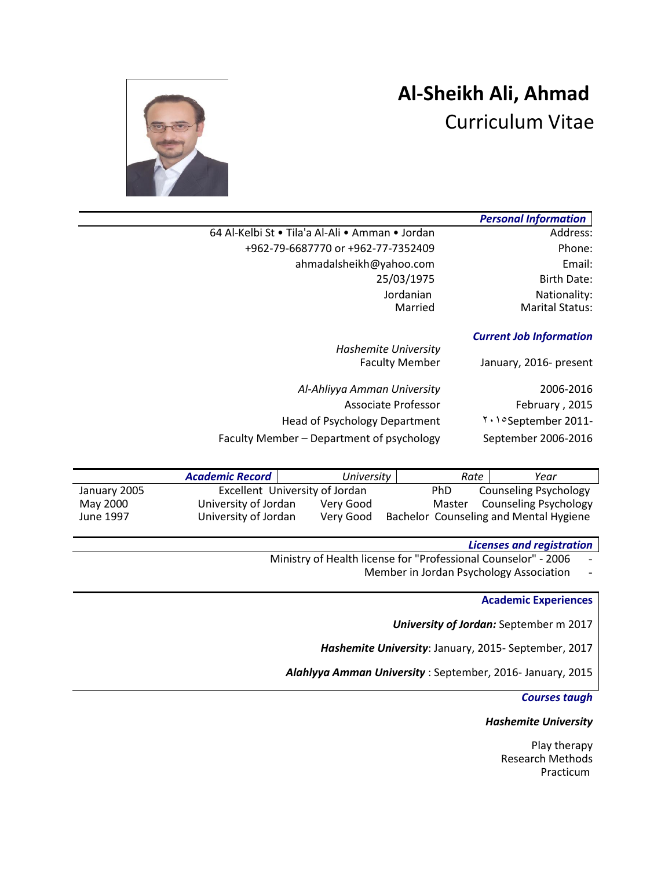# **Al-Sheikh Ali, Ahmad**  Curriculum Vitae



|                                                 | <b>Personal Information</b>    |
|-------------------------------------------------|--------------------------------|
| 64 Al-Kelbi St • Tila'a Al-Ali • Amman • Jordan | Address:                       |
| +962-79-6687770 or +962-77-7352409              | Phone:                         |
| ahmadalsheikh@yahoo.com                         | Email:                         |
| 25/03/1975                                      | <b>Birth Date:</b>             |
| Jordanian                                       | Nationality:                   |
| Married                                         | <b>Marital Status:</b>         |
|                                                 | <b>Current Job Information</b> |

January, 2016- present

*Hashemite University*

| 2006-2016           | Al-Ahliyya Amman University               |
|---------------------|-------------------------------------------|
| February, 2015      | Associate Professor                       |
| September 2011-     | <b>Head of Psychology Department</b>      |
| September 2006-2016 | Faculty Member – Department of psychology |

|              | <b>Academic Record</b> | University                     | Rate       | Year                                   |
|--------------|------------------------|--------------------------------|------------|----------------------------------------|
| January 2005 |                        | Excellent University of Jordan | <b>PhD</b> | <b>Counseling Psychology</b>           |
| May 2000     | University of Jordan   | Very Good                      | Master     | Counseling Psychology                  |
| June 1997    | University of Jordan   | Very Good                      |            | Bachelor Counseling and Mental Hygiene |

## *Licenses and registration*

Ministry of Health license for "Professional Counselor" - 2006

Member in Jordan Psychology Association -

## **Academic Experiences**

*University of Jordan:* September m 2017

*Hashemite University*: January, 2015- September, 2017

*Alahlyya Amman University* : September, 2016- January, 2015

#### *Courses taugh*

#### *Hashemite University*

Play therapy Research Methods Practicum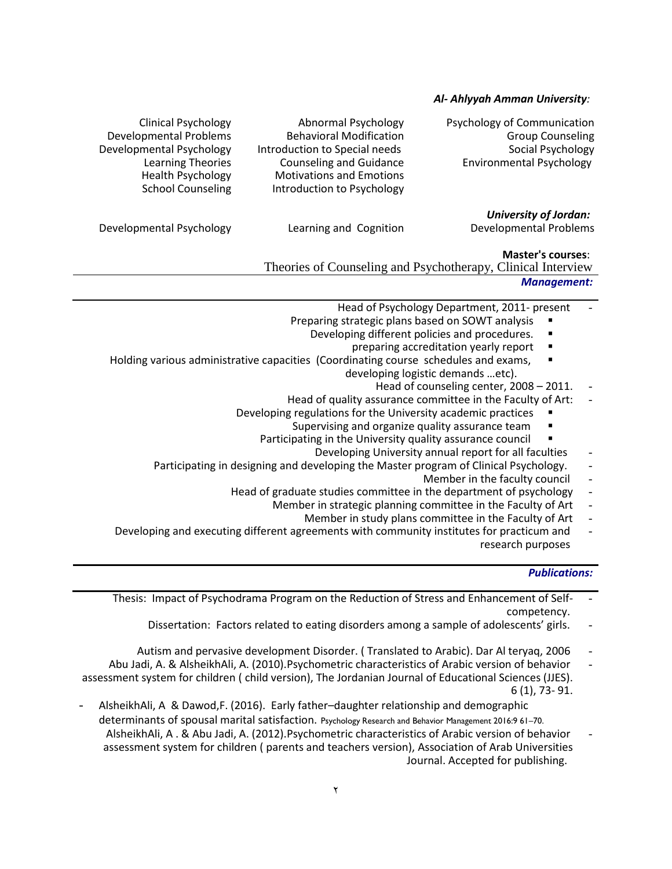## *Al- Ahlyyah Amman University:*

| Psychology of Communication |
|-----------------------------|
| <b>Group Counseling</b>     |
| Social Psychology           |
| Environmental Psychology    |

Clinical Psychology **Abnormal Psychology Psychology Psychology** Developmental Problems Behavioral Modification Developmental Psychology Introduction to Special needs<br>Learning Theories Counseling and Guidance Counseling and Guidance Health Psychology Motivations and Emotions School Counseling Introduction to Psychology

*University of Jordan:* 

Developmental Psychology **Learning and Cognition** Developmental Problems

## **Master's courses**:

Theories of Counseling and Psychotherapy, Clinical Interview

*Management:*

- Head of Psychology Department, 2011- present
- Preparing strategic plans based on SOWT analysis
	- Developing different policies and procedures.
		- preparing accreditation yearly report
- Holding various administrative capacities (Coordinating course schedules and exams, developing logistic demands …etc).
	- Head of counseling center,  $2008 2011$ .
	- Head of quality assurance committee in the Faculty of Art:
	- Developing regulations for the University academic practices
		- Supervising and organize quality assurance team
		- Participating in the University quality assurance council
			- Developing University annual report for all faculties
	- Participating in designing and developing the Master program of Clinical Psychology.
		- Member in the faculty council -
		- Head of graduate studies committee in the department of psychology
			- Member in strategic planning committee in the Faculty of Art
				- Member in study plans committee in the Faculty of Art
- Developing and executing different agreements with community institutes for practicum and research purposes

## *Publications:*

- Thesis: Impact of Psychodrama Program on the Reduction of Stress and Enhancement of Self- competency.
	- Dissertation: Factors related to eating disorders among a sample of adolescents' girls. -
	- Autism and pervasive development Disorder. ( Translated to Arabic). Dar Al teryaq, 2006 -
- Abu Jadi, A. & AlsheikhAli, A. (2010).Psychometric characteristics of Arabic version of behavior assessment system for children ( child version), The Jordanian Journal of Educational Sciences (JJES). 6 (1), 73- 91.
- AlsheikhAli, A & Dawod,F. (2016). Early father–daughter relationship and demographic determinants of spousal marital satisfaction. Psychology Research and Behavior Management 2016:9 61-70. AlsheikhAli, A . & Abu Jadi, A. (2012).Psychometric characteristics of Arabic version of behavior assessment system for children ( parents and teachers version), Association of Arab Universities Journal. Accepted for publishing.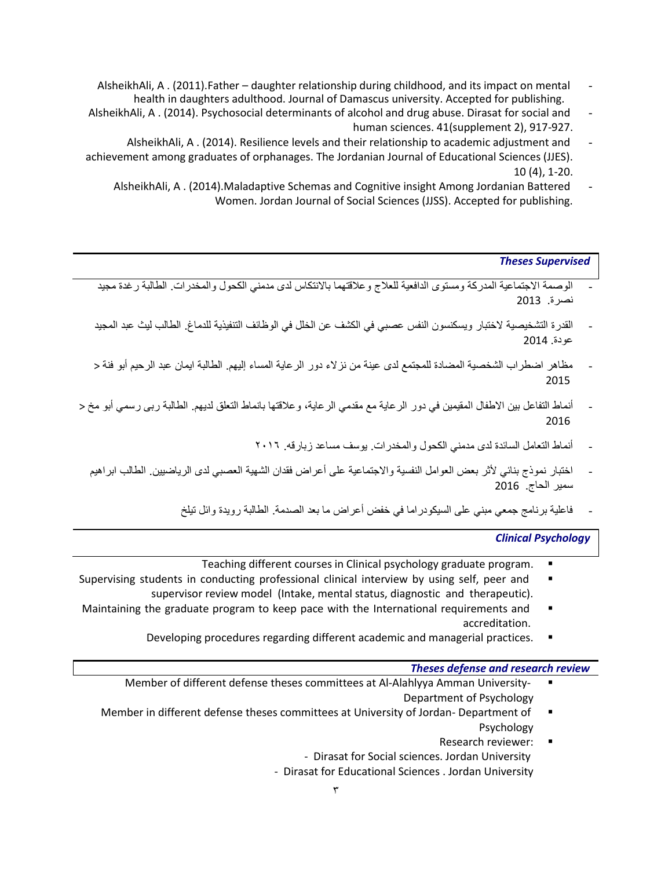- AlsheikhAli, A . (2011).Father daughter relationship during childhood, and its impact on mental health in daughters adulthood. Journal of Damascus university. Accepted for publishing.
- AlsheikhAli, A . (2014). Psychosocial determinants of alcohol and drug abuse. Dirasat for social and human sciences. 41(supplement 2), 917-927.
- AlsheikhAli, A . (2014). Resilience levels and their relationship to academic adjustment and achievement among graduates of orphanages. The Jordanian Journal of Educational Sciences (JJES). 10 (4), 1-20.
	- AlsheikhAli, A . (2014).Maladaptive Schemas and Cognitive insight Among Jordanian Battered Women. Jordan Journal of Social Sciences (JJSS). Accepted for publishing.

## *Theses Supervised*

- الوصمة الاجتماعية المدركة ومستوى الدافعية للعلاج وعلاقتهما بالانتكاس لدى مدمني الكحول والمخدر ات. الطالبة رغدة مجيد نصرة. 2013
- القدرة التشخيصية الختبار ويسكنسون النفس عصبي في الكشف عن الخلل في الوظائف التنفيذية للدماغ. الطالب ليث عبد المجيد عودة. 2014
- مظاهر اضطراب الشخصية المضادة للمجتمع لدى عينة من نزالء دور الرعاية المساء إليهم. الطالبة ايمان عبد الرحيم أبو فنة < 2015
- أنماط التفاعل بين الاطفال المقيمين في دور الرعاية مع مقدمي الرعاية، وعلاقتها بانماط التعلق لديهم. الطالبة ربي رسمي أبو مخ < 2016
	- أنماط التعامل السائدة لدى مدمني الكحول والمخدرات. يوسف مساعد زبارقه. 5102
	- اختبار نموذج بنائي ألثر بعض العوامل النفسية واالجتماعية على أعراض فقدان الشهية العصبي لدى الرياضيين. الطالب ابراهيم سمير الحاج. 2016
		- فاعلية برنامج جمعي مبني على السيكودراما في خفض أعراض ما بعد الصدمة. الطالبة رويدة وائل تيلخ

## *Clinical Psychology*

- Teaching different courses in Clinical psychology graduate program.
- Supervising students in conducting professional clinical interview by using self, peer and  $\blacksquare$ supervisor review model (Intake, mental status, diagnostic and therapeutic).
- Maintaining the graduate program to keep pace with the International requirements and accreditation.
	- Developing procedures regarding different academic and managerial practices.  $\blacksquare$

## *Theses defense and research review*

- Member of different defense theses committees at Al-Alahlyya Amman University- Department of Psychology
- Member in different defense theses committees at University of Jordan- Department of  $\blacksquare$ Psychology
	- Research reviewer: - Dirasat for Social sciences. Jordan University - Dirasat for Educational Sciences . Jordan University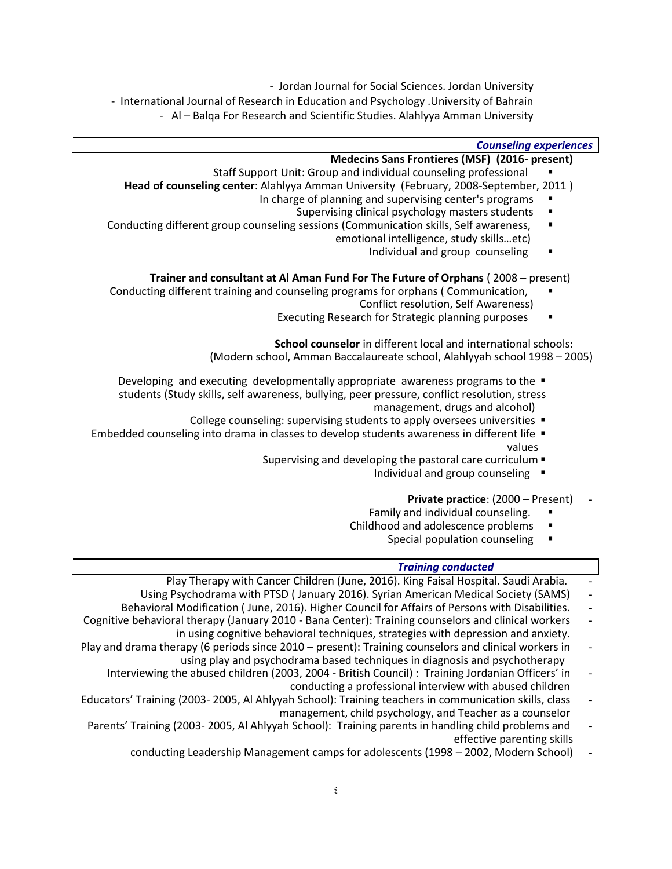- Jordan Journal for Social Sciences. Jordan University

- International Journal of Research in Education and Psychology .University of Bahrain - Al – Balqa For Research and Scientific Studies. Alahlyya Amman University

## *Counseling experiences*

## **Medecins Sans Frontieres (MSF) (2016- present)**

- Staff Support Unit: Group and individual counseling professional
- **Head of counseling center**: Alahlyya Amman University (February, 2008-September, 2011 )
	- In charge of planning and supervising center's programs
		- Supervising clinical psychology masters students
- Conducting different group counseling sessions (Communication skills, Self awareness, emotional intelligence, study skills…etc)
	- Individual and group counseling

## **Trainer and consultant at Al Aman Fund For The Future of Orphans** ( 2008 – present)

- Conducting different training and counseling programs for orphans ( Communication, Conflict resolution, Self Awareness)
	- Executing Research for Strategic planning purposes

**School counselor** in different local and international schools:

(Modern school, Amman Baccalaureate school, Alahlyyah school 1998 – 2005)

- Developing and executing developmentally appropriate awareness programs to the  $\blacksquare$
- students (Study skills, self awareness, bullying, peer pressure, conflict resolution, stress management, drugs and alcohol)
	- College counseling: supervising students to apply oversees universities
- Embedded counseling into drama in classes to develop students awareness in different life  $\blacksquare$ values
	- Supervising and developing the pastoral care curriculum
		- Individual and group counseling  $\blacksquare$

#### Private practice: (2000 – Present)

- Family and individual counseling.
- Childhood and adolescence problems
	- Special population counseling

## *Training conducted Training conducted*

- Play Therapy with Cancer Children (June, 2016). King Faisal Hospital. Saudi Arabia.
- Using Psychodrama with PTSD ( January 2016). Syrian American Medical Society (SAMS) -
- Behavioral Modification ( June, 2016). Higher Council for Affairs of Persons with Disabilities. -
- Cognitive behavioral therapy (January 2010 Bana Center): Training counselors and clinical workers in using cognitive behavioral techniques, strategies with depression and anxiety.
- Play and drama therapy (6 periods since 2010 present): Training counselors and clinical workers in using play and psychodrama based techniques in diagnosis and psychotherapy
	- Interviewing the abused children (2003, 2004 British Council) : Training Jordanian Officers' in conducting a professional interview with abused children
- Educators' Training (2003- 2005, Al Ahlyyah School): Training teachers in communication skills, class management, child psychology, and Teacher as a counselor
- Parents' Training (2003- 2005, Al Ahlyyah School): Training parents in handling child problems and effective parenting skills
	- conducting Leadership Management camps for adolescents (1998 2002, Modern School) -